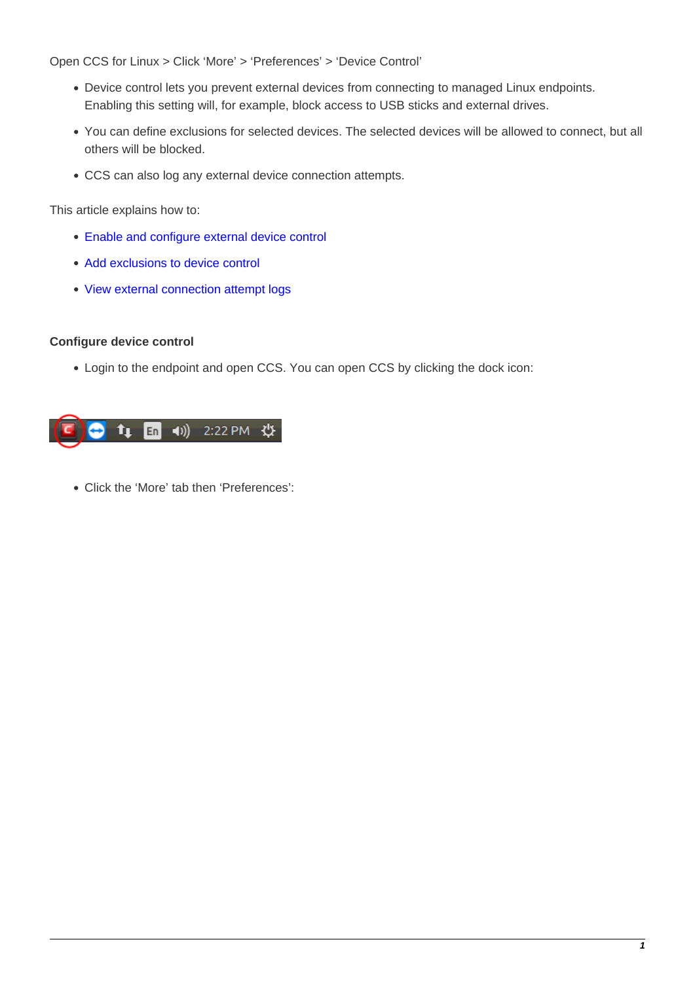Open CCS for Linux > Click 'More' > 'Preferences' > 'Device Control'

- Device control lets you prevent external devices from connecting to managed Linux endpoints. Enabling this setting will, for example, block access to USB sticks and external drives.
- You can define exclusions for selected devices. The selected devices will be allowed to connect, but all others will be blocked.
- CCS can also log any external device connection attempts.

This article explains how to:

- [Enable and configure external device control](#page-0-0)
- [Add exclusions to device control](#page-2-0)
- [View external connection attempt logs](#page-5-0)

### <span id="page-0-0"></span>**Configure device control**

Login to the endpoint and open CCS. You can open CCS by clicking the dock icon:



Click the 'More' tab then 'Preferences':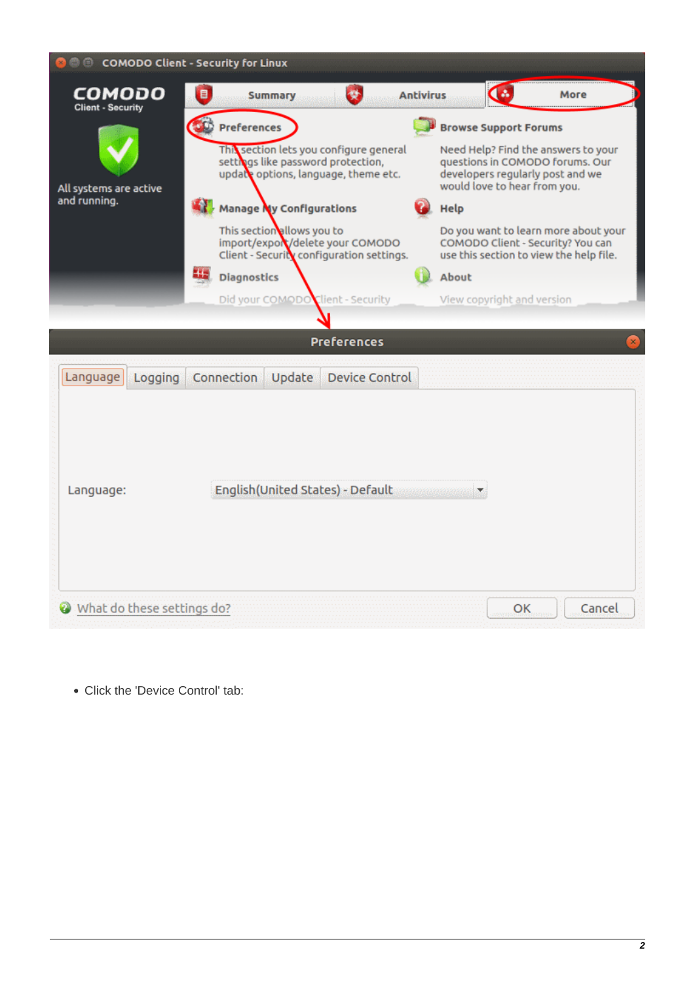

• Click the 'Device Control' tab: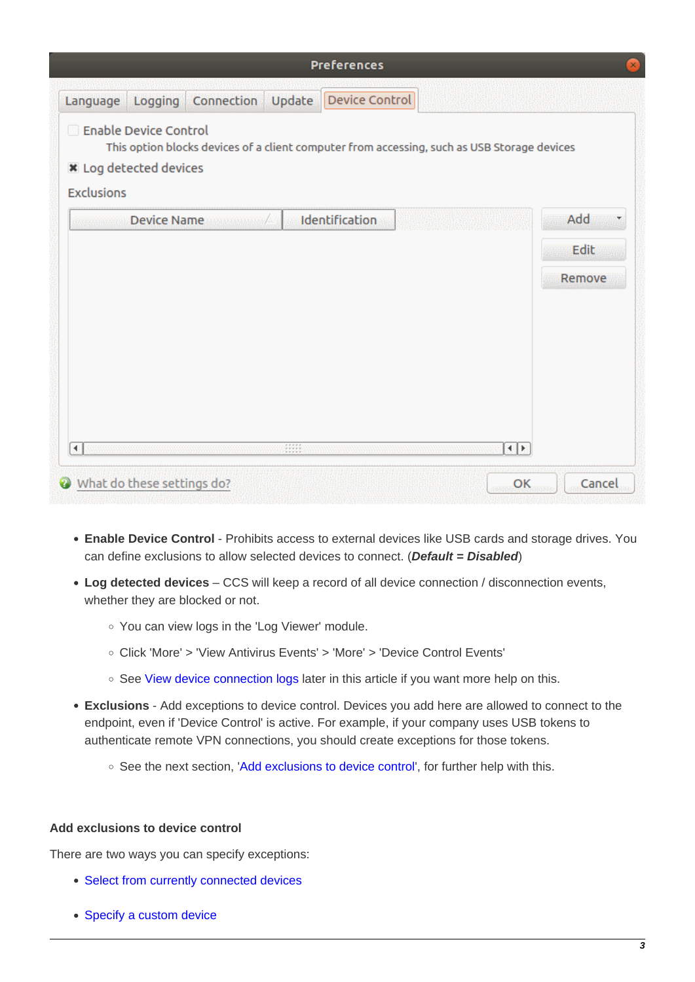| <b>Preferences</b> |                                                        |               |        |                                                                                             |  |  |
|--------------------|--------------------------------------------------------|---------------|--------|---------------------------------------------------------------------------------------------|--|--|
| Language           | Logging                                                | Connection    | Update | Device Control                                                                              |  |  |
| <b>Exclusions</b>  | Enable Device Control<br><b>*</b> Log detected devices |               |        | This option blocks devices of a client computer from accessing, such as USB Storage devices |  |  |
| mana               |                                                        | Device Name / |        | Add<br>Identification<br>Edit<br>Remove                                                     |  |  |
| Ń.<br>Ø            | What do these settings do?                             |               | 4449   | 洞形<br>Cancel<br>OK                                                                          |  |  |

- **Enable Device Control** Prohibits access to external devices like USB cards and storage drives. You can define exclusions to allow selected devices to connect. (**Default = Disabled**)
- <span id="page-2-1"></span>**Log detected devices** – CCS will keep a record of all device connection / disconnection events, whether they are blocked or not.
	- You can view logs in the 'Log Viewer' module.
	- Click 'More' > 'View Antivirus Events' > 'More' > 'Device Control Events'
	- See [View device connection logs](#page-5-0) later in this article if you want more help on this.
- **Exclusions** Add exceptions to device control. Devices you add here are allowed to connect to the endpoint, even if 'Device Control' is active. For example, if your company uses USB tokens to authenticate remote VPN connections, you should create exceptions for those tokens.
	- See the next section, '[Add exclusions to device control](#page-2-0)', for further help with this.

#### <span id="page-2-0"></span>**Add exclusions to device control**

There are two ways you can specify exceptions:

- [Select from currently connected devices](#page-3-0)
- [Specify a custom device](#page-4-0)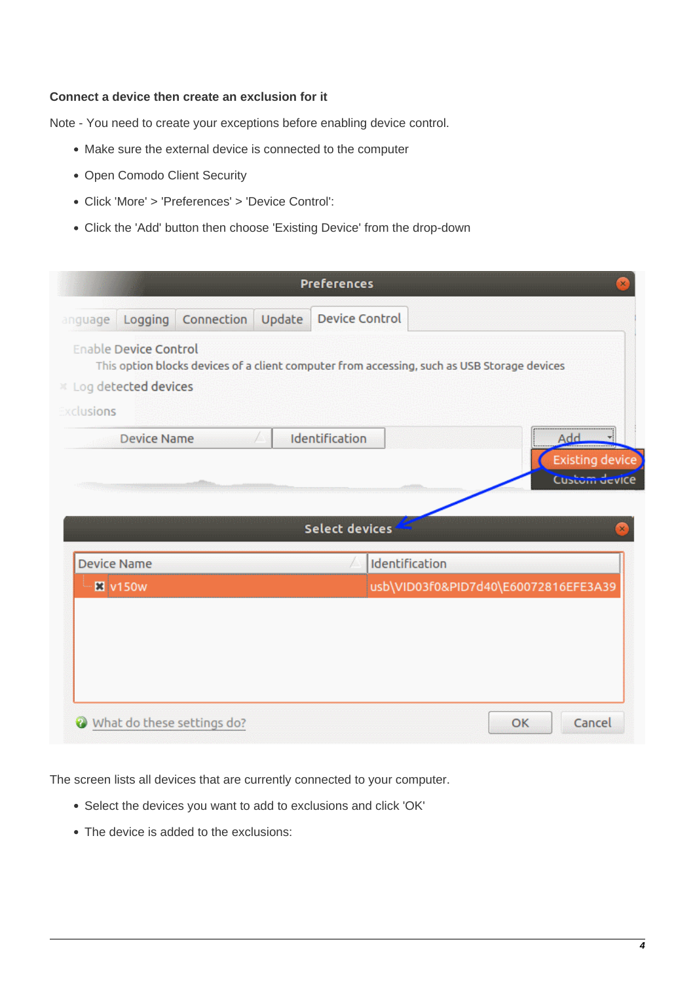## <span id="page-3-0"></span>**Connect a device then create an exclusion for it**

Note - You need to create your exceptions before enabling device control.

- Make sure the external device is connected to the computer
- Open Comodo Client Security
- Click 'More' > 'Preferences' > 'Device Control':
- Click the 'Add' button then choose 'Existing Device' from the drop-down

|                 |                                                      |            |        | <b>Preferences</b>                                                                          | ×                                    |
|-----------------|------------------------------------------------------|------------|--------|---------------------------------------------------------------------------------------------|--------------------------------------|
| anguage         | Logging                                              | Connection | Update | Device Control                                                                              |                                      |
|                 | <b>Enable Device Control</b><br>Log detected devices |            |        | This option blocks devices of a client computer from accessing, such as USB Storage devices |                                      |
| xclusions       |                                                      |            |        |                                                                                             |                                      |
|                 | <b>Device Name</b>                                   |            | T.     | Identification                                                                              | <u>Add</u><br><b>Existing device</b> |
|                 |                                                      |            |        |                                                                                             | Custom device                        |
|                 |                                                      |            |        | <b>Select devices</b>                                                                       |                                      |
|                 |                                                      |            |        |                                                                                             |                                      |
|                 | <b>Device Name</b>                                   |            |        | Identification                                                                              |                                      |
|                 |                                                      |            |        |                                                                                             |                                      |
| <b>El</b> v150w |                                                      |            |        | usb\VID03f0&PID7d40\E60072816EFE3A39                                                        |                                      |
|                 |                                                      |            |        |                                                                                             |                                      |
|                 |                                                      |            |        |                                                                                             |                                      |
|                 |                                                      |            |        |                                                                                             |                                      |
|                 |                                                      |            |        |                                                                                             |                                      |

The screen lists all devices that are currently connected to your computer.

- Select the devices you want to add to exclusions and click 'OK'
- The device is added to the exclusions: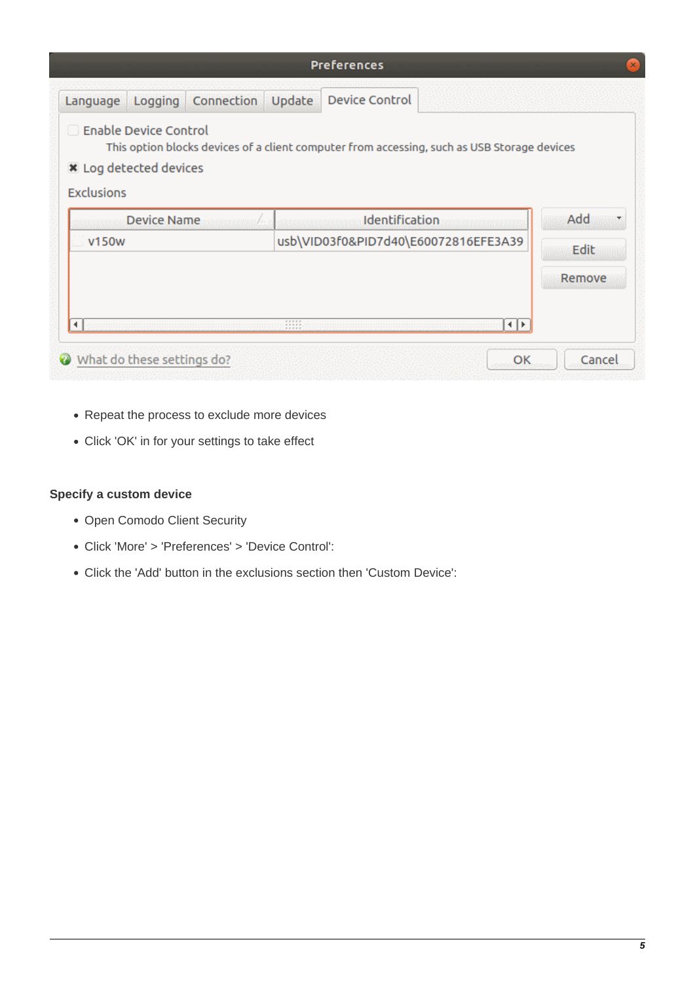|                                                                                             |            |                                                                                                                                                                                                                                                                      | <b>Preferences</b>                                                                          |      | ×      |
|---------------------------------------------------------------------------------------------|------------|----------------------------------------------------------------------------------------------------------------------------------------------------------------------------------------------------------------------------------------------------------------------|---------------------------------------------------------------------------------------------|------|--------|
| Language<br>Logging                                                                         | Connection | Update                                                                                                                                                                                                                                                               | <b>Device Control</b>                                                                       |      |        |
| <b>Enable Device Control</b><br>$\mathbf{1}$<br>X Log detected devices<br><b>Exclusions</b> |            |                                                                                                                                                                                                                                                                      | This option blocks devices of a client computer from accessing, such as USB Storage devices |      |        |
| Device Name                                                                                 |            |                                                                                                                                                                                                                                                                      | Identification                                                                              |      | Add    |
| v150w                                                                                       |            |                                                                                                                                                                                                                                                                      | usb\VID03f0&PID7d40\E60072816EFE3A39                                                        |      | Edit   |
|                                                                                             |            |                                                                                                                                                                                                                                                                      |                                                                                             |      | Remove |
|                                                                                             |            | $\begin{array}{c} \begin{array}{c} \bullet & \bullet & \bullet & \bullet & \bullet \\ \bullet & \bullet & \bullet & \bullet & \bullet \\ \bullet & \bullet & \bullet & \bullet & \bullet \\ \bullet & \bullet & \bullet & \bullet & \bullet \end{array} \end{array}$ |                                                                                             | 4. 托 |        |
| What do these settings do?<br>Ø                                                             |            |                                                                                                                                                                                                                                                                      |                                                                                             | OK   | Cancel |

- Repeat the process to exclude more devices
- Click 'OK' in for your settings to take effect

# <span id="page-4-0"></span>**Specify a custom device**

- Open Comodo Client Security
- Click 'More' > 'Preferences' > 'Device Control':
- Click the 'Add' button in the exclusions section then 'Custom Device':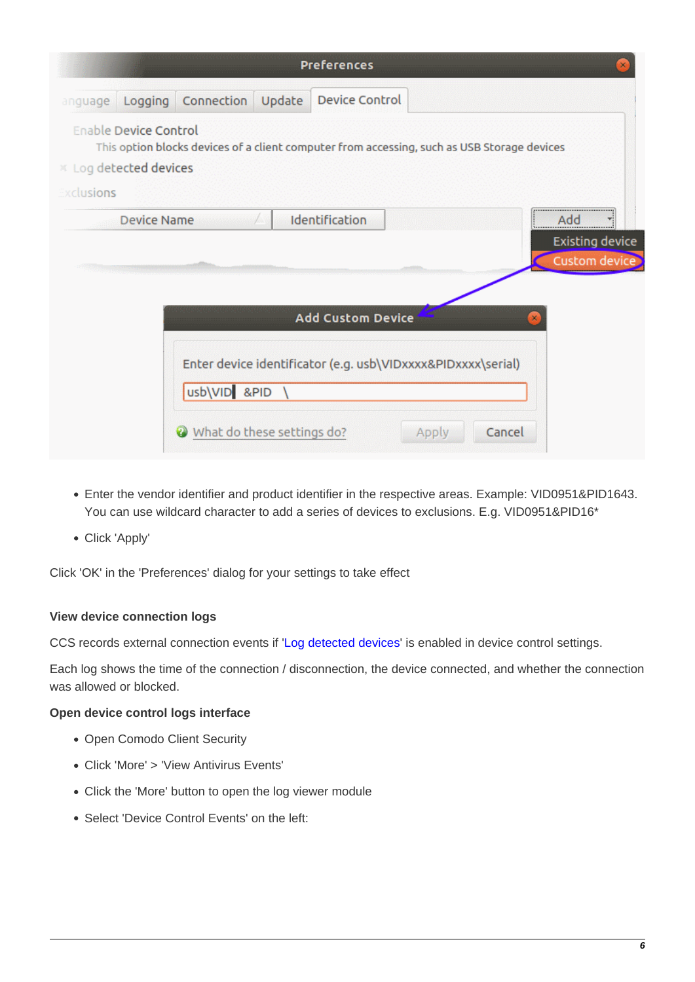|           |                                                      |                                                                                             | <b>Preferences</b>       |              |        |                                  |
|-----------|------------------------------------------------------|---------------------------------------------------------------------------------------------|--------------------------|--------------|--------|----------------------------------|
|           | anguage Logging                                      | Connection<br>Update                                                                        | Device Control           |              |        |                                  |
|           | <b>Enable Device Control</b><br>Log detected devices | This option blocks devices of a client computer from accessing, such as USB Storage devices |                          |              |        |                                  |
| xclusions |                                                      |                                                                                             |                          |              |        |                                  |
|           | <b>Device Name</b>                                   | an an A                                                                                     | Identification           |              |        | Add                              |
|           |                                                      |                                                                                             |                          |              |        | Existing device<br>Custom device |
|           |                                                      |                                                                                             | <b>Add Custom Device</b> |              |        |                                  |
|           |                                                      | Enter device identificator (e.g. usb\VIDxxxx&PIDxxxx\serial)<br>usb\VID &PID \              |                          |              |        |                                  |
|           |                                                      | What do these settings do?                                                                  |                          | <b>Apply</b> | Cancel |                                  |

- Enter the vendor identifier and product identifier in the respective areas. Example: VID0951&PID1643. You can use wildcard character to add a series of devices to exclusions. E.g. VID0951&PID16\*
- Click 'Apply'

Click 'OK' in the 'Preferences' dialog for your settings to take effect

## <span id="page-5-0"></span>**View device connection logs**

CCS records external connection events if '[Log detected devices](#page-2-1)' is enabled in device control settings.

Each log shows the time of the connection / disconnection, the device connected, and whether the connection was allowed or blocked.

## **Open device control logs interface**

- Open Comodo Client Security
- Click 'More' > 'View Antivirus Events'
- Click the 'More' button to open the log viewer module
- Select 'Device Control Events' on the left: